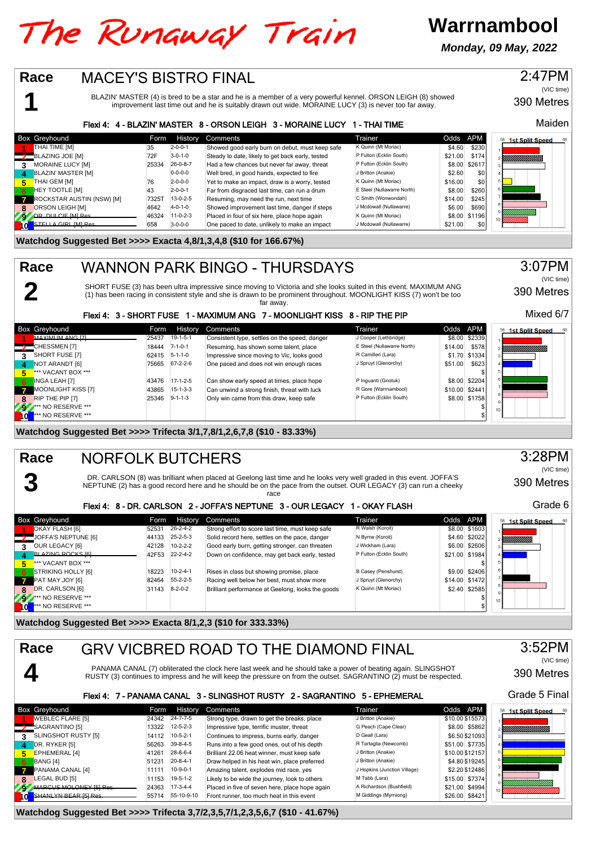# The Runaway Train

**Warrnambool**

**Monday, 09 May, 2022**



**Watchdog Suggested Bet >>>> Trifecta 3,7/2,3,5,7/1,2,3,5,6,7 (\$10 - 41.67%)**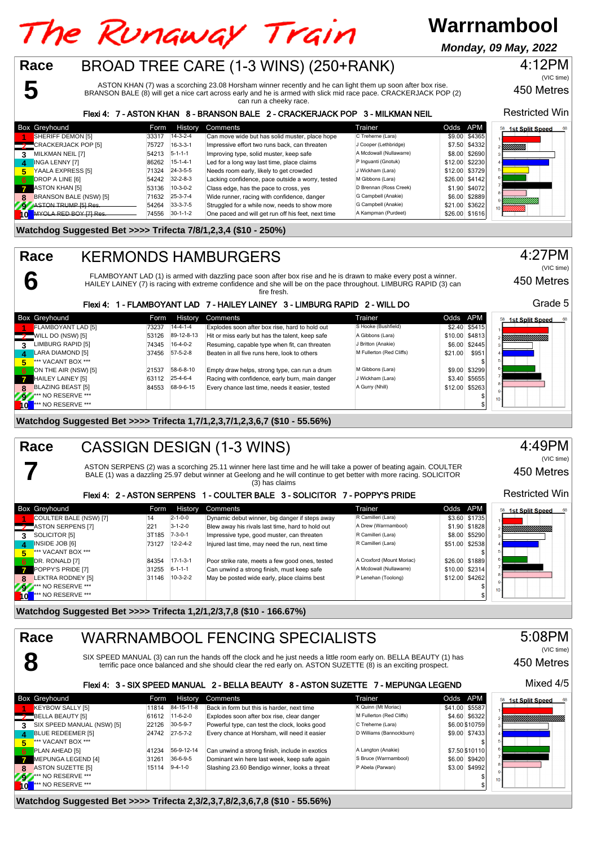#### **Warrnambool** The Runaway Train **Monday, 09 May, 2022**BROAD TREE CARE (1-3 WINS) (250+RANK) **Race** 4:12PM (VIC time) **5** ASTON KHAN (7) was a scorching 23.08 Horsham winner recently and he can light them up soon after box rise. 450 Metres

BRANSON BALE (8) will get a nice cart across early and he is armed with slick mid race pace. CRACKERJACK POP (2) can run a cheeky race.

### Flexi 4: 7 - ASTON KHAN 8 - BRANSON BALE 2 - CRACKERJACK POP 3 - MILKMAN NEIL

|              | <b>Box Greyhound</b>          | Form  | History          | Comments                                           | Trainer                 | Odds APM |                | 68<br><b>1st Split Speed</b><br>58 |
|--------------|-------------------------------|-------|------------------|----------------------------------------------------|-------------------------|----------|----------------|------------------------------------|
|              | SHERIFF DEMON [5]             | 33317 | $14 - 3 - 2 - 4$ | Can move wide but has solid muster, place hope     | C Treherne (Lara)       |          | \$9.00 \$4365  |                                    |
|              | <b>2</b> CRACKERJACK POP [5]  | 75727 | $16-3-3-1$       | Impressive effort two runs back, can threaten      | J Cooper (Lethbridge)   |          | \$7.50 \$4332  | YMMM).                             |
|              | MILKMAN NEIL [7]              | 54213 | $5 - 1 - 1 - 1$  | Improving type, solid muster, keep safe            | A Mcdowall (Nullawarre) |          | \$8.00 \$2690  |                                    |
| $\mathbf{A}$ | INGA LENNY [7]                | 86262 | $15 - 1 - 4 - 1$ | Led for a long way last time, place claims         | P Inquanti (Gnotuk)     |          | \$12.00 \$2230 |                                    |
| 5            | YAALA EXPRESS [5]             | 71324 | $24 - 3 - 5 - 5$ | Needs room early, likely to get crowded            | J Wickham (Lara)        |          | \$12.00 \$3729 |                                    |
| -6           | DROP A LINE [6]               | 54242 | $32 - 2 - 8 - 3$ | Lacking confidence, pace outside a worry, tested   | M Gibbons (Lara)        |          | \$26.00 \$4142 |                                    |
|              | $\blacksquare$ ASTON KHAN [5] | 53136 | $10-3-0-2$       | Class edge, has the pace to cross, yes             | D Brennan (Ross Creek)  |          | \$1.90 \$4072  |                                    |
|              | BRANSON BALE (NSW) [5]        | 71632 | $25 - 3 - 7 - 4$ | Wide runner, racing with confidence, danger        | G Campbell (Anakie)     |          | \$6.00 \$2889  |                                    |
|              | ASTON TRUMP IS LRAS           | 54264 | $33-3-7-5$       | Struggled for a while now, needs to show more      | G Campbell (Anakie)     |          | \$21.00 \$3622 |                                    |
|              | MVOLA RED ROV [7] Ros         | 74556 | $30-1-1-2$       | One paced and will get run off his feet, next time | A Kampman (Purdeet)     |          | \$26.00 \$1616 |                                    |

#### **Watchdog Suggested Bet >>>> Trifecta 7/8/1,2,3,4 (\$10 - 250%)**

**6**

**7**

**Race**

## KERMONDS HAMBURGERS

FLAMBOYANT LAD (1) is armed with dazzling pace soon after box rise and he is drawn to make every post a winner. HAILEY LAINEY (7) is racing with extreme confidence and she will be on the pace throughout. LIMBURG RAPID (3) can fire fresh.

#### Flexi 4: 1 - FLAMBOYANT LAD 7 - HAILEY LAINEY 3 - LIMBURG RAPID 2 - WILL DO

|           | <b>Box Greyhound</b>            | Form  | History          | Comments                                        | Trainer                  | Odds APM |                 | 58<br><b>1st Split Speed</b> |
|-----------|---------------------------------|-------|------------------|-------------------------------------------------|--------------------------|----------|-----------------|------------------------------|
|           | FLAMBOYANT LAD [5]              | 73237 | $14 - 4 - 1 - 4$ | Explodes soon after box rise, hard to hold out  | S Hooke (Bushfield)      |          | $$2.40$ $$5415$ |                              |
|           | $\frac{1}{2}$ WILL DO (NSW) [5] | 53126 | 89-12-8-13       | Hit or miss early but has the talent, keep safe | A Gibbons (Lara)         |          | \$10.00 \$4813  | YMMMMMMMM                    |
| 3         | LIMBURG RAPID [5]               | 74345 | $16-4-0-2$       | Resuming, capable type when fit, can threaten   | J Britton (Anakie)       |          | \$6.00 \$2445   |                              |
| 4         | LARA DIAMOND [5]                | 37456 | $57-5-2-8$       | Beaten in all five runs here, look to others    | M Fullerton (Red Cliffs) | \$21.00  | \$951           |                              |
| 5.        | *** VACANT BOX ***              |       |                  |                                                 |                          |          |                 |                              |
| 6         | ON THE AIR (NSW) [5]            | 21537 | 58-6-8-10        | Empty draw helps, strong type, can run a drum   | M Gibbons (Lara)         |          | \$9.00 \$3299   | 6                            |
|           | HAILEY LAINEY [5]               | 63112 | 25-4-6-4         | Racing with confidence, early burn, main danger | J Wickham (Lara)         |          | \$3.40 \$5655   |                              |
| 8         | <b>BLAZING BEAST [5]</b>        | 84553 | 68-9-6-15        | Every chance last time, needs it easier, tested | A Gurry (Nhill)          |          | \$12.00 \$5263  |                              |
| Z9Z       | <b>*** NO RESERVE ***</b>       |       |                  |                                                 |                          |          |                 | 10 <sub>1</sub>              |
| <b>TO</b> | <b>*** NO RESERVE ***</b>       |       |                  |                                                 |                          |          |                 |                              |

### **Watchdog Suggested Bet >>>> Trifecta 1,7/1,2,3,7/1,2,3,6,7 (\$10 - 55.56%)**

#### CASSIGN DESIGN (1-3 WINS) **Race**

ASTON SERPENS (2) was a scorching 25.11 winner here last time and he will take a power of beating again. COULTER BALE (1) was a dazzling 25.97 debut winner at Geelong and he will continue to get better with more racing. SOLICITOR (3) has claims

#### Flexi 4: 2 - ASTON SERPENS 1 - COULTER BALE 3 - SOLICITOR 7 - POPPY'S PRIDE

|              | <b>Box Greyhound</b>          |       | Form History     | Comments                                         | Trainer                   | Odds APM |                | <b>1st Split Speed</b><br>68 |
|--------------|-------------------------------|-------|------------------|--------------------------------------------------|---------------------------|----------|----------------|------------------------------|
|              | COULTER BALE (NSW) [7]        | 14    | $2 - 1 - 0 - 0$  | Dynamic debut winner, big danger if steps away   | R Camilleri (Lara)        |          | \$3.60 \$1735  |                              |
|              | <b>2</b> ASTON SERPENS [7]    | 221   | $3 - 1 - 2 - 0$  | Blew away his rivals last time, hard to hold out | A Drew (Warrnambool)      |          | \$1.90 \$1828  | YMMMMMMMM                    |
| 3            | SOLICITOR [5]                 | 3T185 | $7 - 3 - 0 - 1$  | Impressive type, good muster, can threaten       | R Camilleri (Lara)        |          | \$8.00 \$5290  |                              |
| $\mathbf{A}$ | INSIDE JOB [6]                | 73127 | $12 - 2 - 4 - 2$ | Injured last time, may need the run, next time   | R Camilleri (Lara)        |          | \$51.00 \$2538 |                              |
| 5.           | *** VACANT BOX ***            |       |                  |                                                  |                           |          |                |                              |
| 6            | DR. RONALD [7]                | 84354 | $17 - 1 - 3 - 1$ | Poor strike rate, meets a few good ones, tested  | A Croxford (Mount Moriac) |          | \$26.00 \$1889 |                              |
|              | <b>POPPY'S PRIDE [7]</b>      | 31255 | $6 - 1 - 1 - 1$  | Can unwind a strong finish, must keep safe       | A Mcdowall (Nullawarre)   |          | \$10.00 \$2314 |                              |
| 8            | <b>LEKTRA RODNEY [5]</b>      | 31146 | $10-3-2-2$       | May be posted wide early, place claims best      | P Lenehan (Toolong)       |          | \$12.00 \$4262 |                              |
| 23           | <b>*** NO RESERVE ***</b>     |       |                  |                                                  |                           |          |                | 10 <sup>1</sup>              |
| l ol         | <sup>***</sup> NO RESERVE *** |       |                  |                                                  |                           |          |                |                              |

**Watchdog Suggested Bet >>>> Trifecta 1,2/1,2/3,7,8 (\$10 - 166.67%)**



**Watchdog Suggested Bet >>>> Trifecta 2,3/2,3,7,8/2,3,6,7,8 (\$10 - 55.56%)**

#### 4:49PM (VIC time)

Restricted Win

450 Metres

Grade 5

(VIC time)

4:27PM

450 Metres

Restricted Win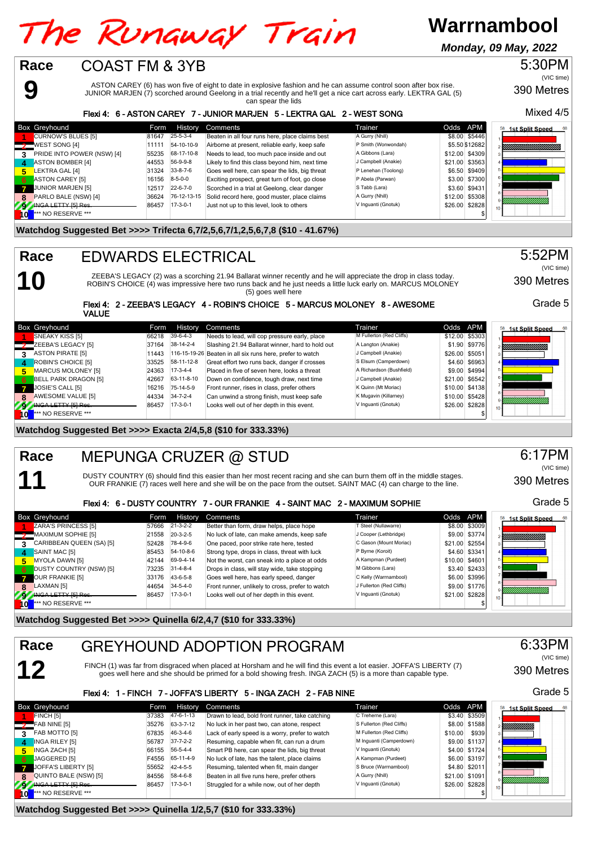# The Runaway Train

**Warrnambool**

**Monday, 09 May, 2022**



**Watchdog Suggested Bet >>>> Quinella 1/2,5,7 (\$10 for 333.33%)**